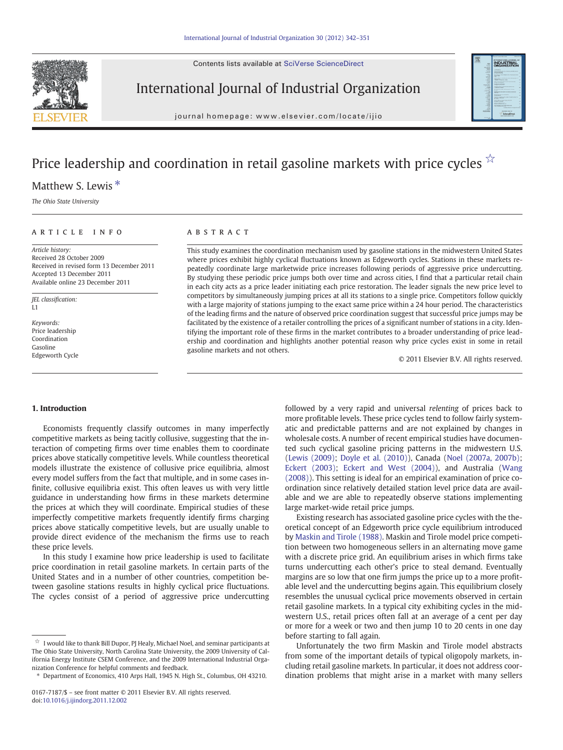Contents lists available at SciVerse ScienceDirect



International Journal of Industrial Organization



journal homepage: www.elsevier.com/locate/ijio

# Price leadership and coordination in retail gasoline markets with price cycles  $\overrightarrow{x}$

### Matthew S. Lewis  $*$

The Ohio State University

#### ARTICLE INFO ABSTRACT

Article history: Received 28 October 2009 Received in revised form 13 December 2011 Accepted 13 December 2011 Available online 23 December 2011

JEL classification:  $L1$ 

Keywords: Price leadership Coordination Gasoline Edgeworth Cycle

This study examines the coordination mechanism used by gasoline stations in the midwestern United States where prices exhibit highly cyclical fluctuations known as Edgeworth cycles. Stations in these markets repeatedly coordinate large marketwide price increases following periods of aggressive price undercutting. By studying these periodic price jumps both over time and across cities, I find that a particular retail chain in each city acts as a price leader initiating each price restoration. The leader signals the new price level to competitors by simultaneously jumping prices at all its stations to a single price. Competitors follow quickly with a large majority of stations jumping to the exact same price within a 24 hour period. The characteristics of the leading firms and the nature of observed price coordination suggest that successful price jumps may be facilitated by the existence of a retailer controlling the prices of a significant number of stations in a city. Identifying the important role of these firms in the market contributes to a broader understanding of price leadership and coordination and highlights another potential reason why price cycles exist in some in retail gasoline markets and not others.

© 2011 Elsevier B.V. All rights reserved.

### 1. Introduction

Economists frequently classify outcomes in many imperfectly competitive markets as being tacitly collusive, suggesting that the interaction of competing firms over time enables them to coordinate prices above statically competitive levels. While countless theoretical models illustrate the existence of collusive price equilibria, almost every model suffers from the fact that multiple, and in some cases infinite, collusive equilibria exist. This often leaves us with very little guidance in understanding how firms in these markets determine the prices at which they will coordinate. Empirical studies of these imperfectly competitive markets frequently identify firms charging prices above statically competitive levels, but are usually unable to provide direct evidence of the mechanism the firms use to reach these price levels.

In this study I examine how price leadership is used to facilitate price coordination in retail gasoline markets. In certain parts of the United States and in a number of other countries, competition between gasoline stations results in highly cyclical price fluctuations. The cycles consist of a period of aggressive price undercutting

followed by a very rapid and universal relenting of prices back to more profitable levels. These price cycles tend to follow fairly systematic and predictable patterns and are not explained by changes in wholesale costs. A number of recent empirical studies have documented such cyclical gasoline pricing patterns in the midwestern U.S. [\(Lewis \(2009\)](#page--1-0); [Doyle et al. \(2010\)](#page--1-0)), Canada ([Noel \(2007a, 2007b\)](#page--1-0); [Eckert \(2003\)](#page--1-0); [Eckert and West \(2004\)](#page--1-0)), and Australia [\(Wang](#page--1-0) [\(2008\)\)](#page--1-0). This setting is ideal for an empirical examination of price coordination since relatively detailed station level price data are available and we are able to repeatedly observe stations implementing large market-wide retail price jumps.

Existing research has associated gasoline price cycles with the theoretical concept of an Edgeworth price cycle equilibrium introduced by [Maskin and Tirole \(1988\).](#page--1-0) Maskin and Tirole model price competition between two homogeneous sellers in an alternating move game with a discrete price grid. An equilibrium arises in which firms take turns undercutting each other's price to steal demand. Eventually margins are so low that one firm jumps the price up to a more profitable level and the undercutting begins again. This equilibrium closely resembles the unusual cyclical price movements observed in certain retail gasoline markets. In a typical city exhibiting cycles in the midwestern U.S., retail prices often fall at an average of a cent per day or more for a week or two and then jump 10 to 20 cents in one day before starting to fall again.

Unfortunately the two firm Maskin and Tirole model abstracts from some of the important details of typical oligopoly markets, including retail gasoline markets. In particular, it does not address coordination problems that might arise in a market with many sellers

 $\mathring{\mathbb{R}}$  I would like to thank Bill Dupor, PJ Healy, Michael Noel, and seminar participants at The Ohio State University, North Carolina State University, the 2009 University of California Energy Institute CSEM Conference, and the 2009 International Industrial Organization Conference for helpful comments and feedback.

<sup>⁎</sup> Department of Economics, 410 Arps Hall, 1945 N. High St., Columbus, OH 43210.

<sup>0167-7187/\$</sup> – see front matter © 2011 Elsevier B.V. All rights reserved. doi[:10.1016/j.ijindorg.2011.12.002](http://dx.doi.org/10.1016/j.ijindorg.2011.12.002)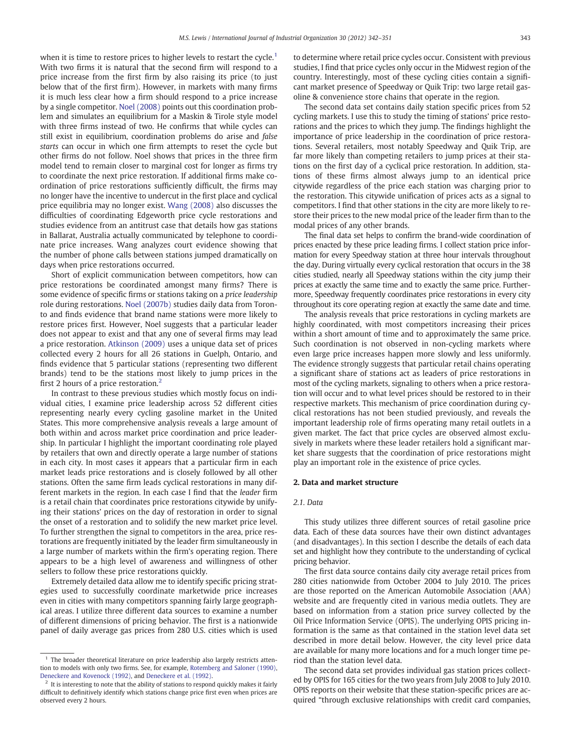when it is time to restore prices to higher levels to restart the cycle.<sup>1</sup> With two firms it is natural that the second firm will respond to a price increase from the first firm by also raising its price (to just below that of the first firm). However, in markets with many firms it is much less clear how a firm should respond to a price increase by a single competitor. [Noel \(2008\)](#page--1-0) points out this coordination problem and simulates an equilibrium for a Maskin & Tirole style model with three firms instead of two. He confirms that while cycles can still exist in equilibrium, coordination problems do arise and false starts can occur in which one firm attempts to reset the cycle but other firms do not follow. Noel shows that prices in the three firm model tend to remain closer to marginal cost for longer as firms try to coordinate the next price restoration. If additional firms make coordination of price restorations sufficiently difficult, the firms may no longer have the incentive to undercut in the first place and cyclical price equilibria may no longer exist. [Wang \(2008\)](#page--1-0) also discusses the difficulties of coordinating Edgeworth price cycle restorations and studies evidence from an antitrust case that details how gas stations in Ballarat, Australia actually communicated by telephone to coordinate price increases. Wang analyzes court evidence showing that the number of phone calls between stations jumped dramatically on days when price restorations occurred.

Short of explicit communication between competitors, how can price restorations be coordinated amongst many firms? There is some evidence of specific firms or stations taking on a price leadership role during restorations. [Noel \(2007b\)](#page--1-0) studies daily data from Toronto and finds evidence that brand name stations were more likely to restore prices first. However, Noel suggests that a particular leader does not appear to exist and that any one of several firms may lead a price restoration. [Atkinson \(2009\)](#page--1-0) uses a unique data set of prices collected every 2 hours for all 26 stations in Guelph, Ontario, and finds evidence that 5 particular stations (representing two different brands) tend to be the stations most likely to jump prices in the first 2 hours of a price restoration.<sup>2</sup>

In contrast to these previous studies which mostly focus on individual cities, I examine price leadership across 52 different cities representing nearly every cycling gasoline market in the United States. This more comprehensive analysis reveals a large amount of both within and across market price coordination and price leadership. In particular I highlight the important coordinating role played by retailers that own and directly operate a large number of stations in each city. In most cases it appears that a particular firm in each market leads price restorations and is closely followed by all other stations. Often the same firm leads cyclical restorations in many different markets in the region. In each case I find that the leader firm is a retail chain that coordinates price restorations citywide by unifying their stations' prices on the day of restoration in order to signal the onset of a restoration and to solidify the new market price level. To further strengthen the signal to competitors in the area, price restorations are frequently initiated by the leader firm simultaneously in a large number of markets within the firm's operating region. There appears to be a high level of awareness and willingness of other sellers to follow these price restorations quickly.

Extremely detailed data allow me to identify specific pricing strategies used to successfully coordinate marketwide price increases even in cities with many competitors spanning fairly large geographical areas. I utilize three different data sources to examine a number of different dimensions of pricing behavior. The first is a nationwide panel of daily average gas prices from 280 U.S. cities which is used to determine where retail price cycles occur. Consistent with previous studies, I find that price cycles only occur in the Midwest region of the country. Interestingly, most of these cycling cities contain a significant market presence of Speedway or Quik Trip: two large retail gasoline & convenience store chains that operate in the region.

The second data set contains daily station specific prices from 52 cycling markets. I use this to study the timing of stations' price restorations and the prices to which they jump. The findings highlight the importance of price leadership in the coordination of price restorations. Several retailers, most notably Speedway and Quik Trip, are far more likely than competing retailers to jump prices at their stations on the first day of a cyclical price restoration. In addition, stations of these firms almost always jump to an identical price citywide regardless of the price each station was charging prior to the restoration. This citywide unification of prices acts as a signal to competitors. I find that other stations in the city are more likely to restore their prices to the new modal price of the leader firm than to the modal prices of any other brands.

The final data set helps to confirm the brand-wide coordination of prices enacted by these price leading firms. I collect station price information for every Speedway station at three hour intervals throughout the day. During virtually every cyclical restoration that occurs in the 38 cities studied, nearly all Speedway stations within the city jump their prices at exactly the same time and to exactly the same price. Furthermore, Speedway frequently coordinates price restorations in every city throughout its core operating region at exactly the same date and time.

The analysis reveals that price restorations in cycling markets are highly coordinated, with most competitors increasing their prices within a short amount of time and to approximately the same price. Such coordination is not observed in non-cycling markets where even large price increases happen more slowly and less uniformly. The evidence strongly suggests that particular retail chains operating a significant share of stations act as leaders of price restorations in most of the cycling markets, signaling to others when a price restoration will occur and to what level prices should be restored to in their respective markets. This mechanism of price coordination during cyclical restorations has not been studied previously, and reveals the important leadership role of firms operating many retail outlets in a given market. The fact that price cycles are observed almost exclusively in markets where these leader retailers hold a significant market share suggests that the coordination of price restorations might play an important role in the existence of price cycles.

#### 2. Data and market structure

#### 2.1. Data

This study utilizes three different sources of retail gasoline price data. Each of these data sources have their own distinct advantages (and disadvantages). In this section I describe the details of each data set and highlight how they contribute to the understanding of cyclical pricing behavior.

The first data source contains daily city average retail prices from 280 cities nationwide from October 2004 to July 2010. The prices are those reported on the American Automobile Association (AAA) website and are frequently cited in various media outlets. They are based on information from a station price survey collected by the Oil Price Information Service (OPIS). The underlying OPIS pricing information is the same as that contained in the station level data set described in more detail below. However, the city level price data are available for many more locations and for a much longer time period than the station level data.

The second data set provides individual gas station prices collected by OPIS for 165 cities for the two years from July 2008 to July 2010. OPIS reports on their website that these station-specific prices are acquired "through exclusive relationships with credit card companies,

 $1$  The broader theoretical literature on price leadership also largely restricts attention to models with only two firms. See, for example, [Rotemberg and Saloner \(1990\)](#page--1-0), [Deneckere and Kovenock \(1992\),](#page--1-0) and [Deneckere et al. \(1992\).](#page--1-0)

 $2$  It is interesting to note that the ability of stations to respond quickly makes it fairly difficult to definitively identify which stations change price first even when prices are observed every 2 hours.